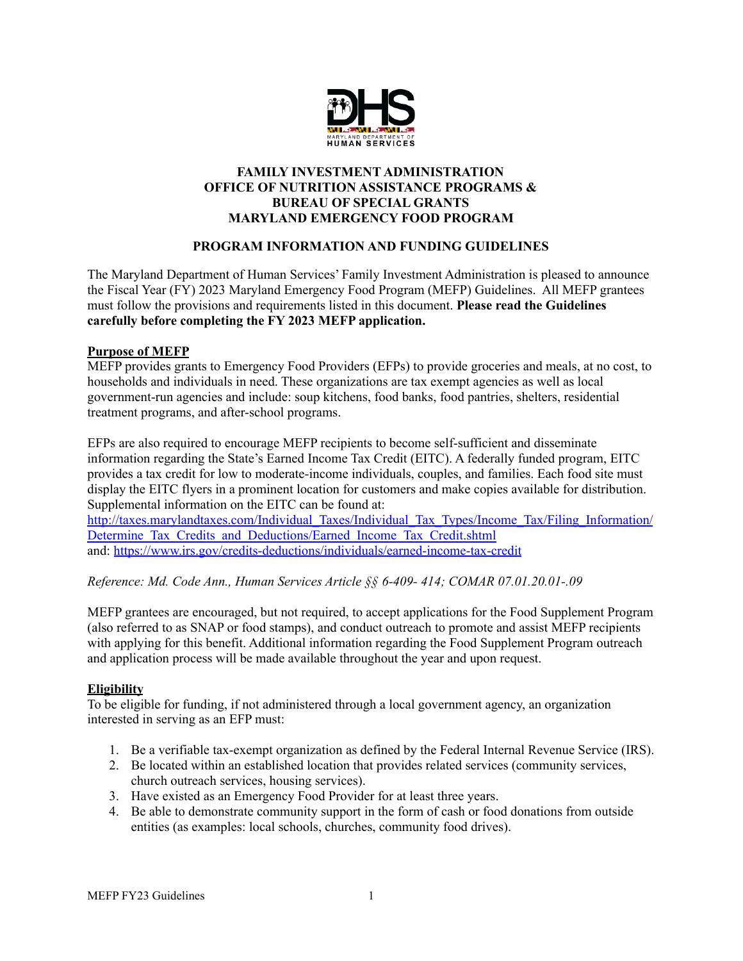

## **FAMILY INVESTMENT ADMINISTRATION OFFICE OF NUTRITION ASSISTANCE PROGRAMS & BUREAU OF SPECIAL GRANTS MARYLAND EMERGENCY FOOD PROGRAM**

# **PROGRAM INFORMATION AND FUNDING GUIDELINES**

The Maryland Department of Human Services' Family Investment Administration is pleased to announce the Fiscal Year (FY) 2023 Maryland Emergency Food Program (MEFP) Guidelines. All MEFP grantees must follow the provisions and requirements listed in this document. **Please read the Guidelines carefully before completing the FY 2023 MEFP application.**

## **Purpose of MEFP**

MEFP provides grants to Emergency Food Providers (EFPs) to provide groceries and meals, at no cost, to households and individuals in need. These organizations are tax exempt agencies as well as local government-run agencies and include: soup kitchens, food banks, food pantries, shelters, residential treatment programs, and after-school programs.

EFPs are also required to encourage MEFP recipients to become self-sufficient and disseminate information regarding the State's Earned Income Tax Credit (EITC). A federally funded program, EITC provides a tax credit for low to moderate-income individuals, couples, and families. Each food site must display the EITC flyers in a prominent location for customers and make copies available for distribution. Supplemental information on the EITC can be found at:

[http://taxes.marylandtaxes.com/Individual\\_Taxes/Individual\\_Tax\\_Types/Income\\_Tax/Filing\\_Information/](http://taxes.marylandtaxes.com/Individual_Taxes/Individual_Tax_Types/Income_Tax/Filing_Information/Determine_Tax_Credits_and_Deductions/Earned_Income_Tax_Credit.shtml) Determine Tax Credits and Deductions/Earned Income Tax Credit.shtml and: <https://www.irs.gov/credits-deductions/individuals/earned-income-tax-credit>

*Reference: Md. Code Ann., Human Services Article §§ 6-409- 414; COMAR 07.01.20.01-.09*

MEFP grantees are encouraged, but not required, to accept applications for the Food Supplement Program (also referred to as SNAP or food stamps), and conduct outreach to promote and assist MEFP recipients with applying for this benefit. Additional information regarding the Food Supplement Program outreach and application process will be made available throughout the year and upon request.

### **Eligibility**

To be eligible for funding, if not administered through a local government agency, an organization interested in serving as an EFP must:

- 1. Be a verifiable tax-exempt organization as defined by the Federal Internal Revenue Service (IRS).
- 2. Be located within an established location that provides related services (community services, church outreach services, housing services).
- 3. Have existed as an Emergency Food Provider for at least three years.
- 4. Be able to demonstrate community support in the form of cash or food donations from outside entities (as examples: local schools, churches, community food drives).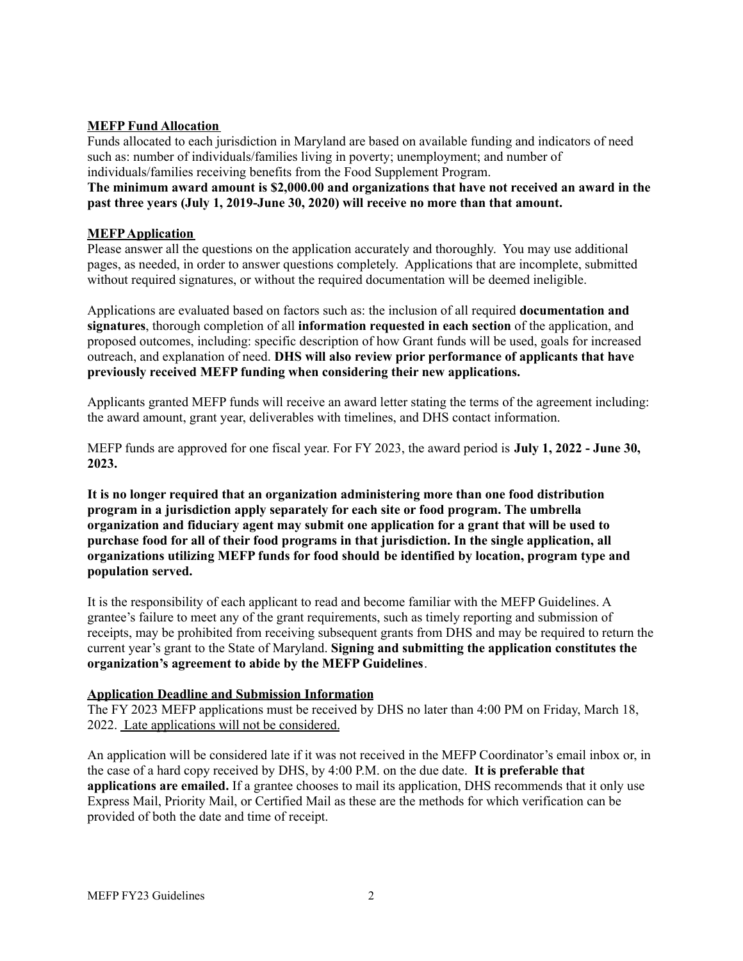## **MEFP Fund Allocation**

Funds allocated to each jurisdiction in Maryland are based on available funding and indicators of need such as: number of individuals/families living in poverty; unemployment; and number of individuals/families receiving benefits from the Food Supplement Program.

**The minimum award amount is \$2,000.00 and organizations that have not received an award in the past three years (July 1, 2019-June 30, 2020) will receive no more than that amount.**

## **MEFPApplication**

Please answer all the questions on the application accurately and thoroughly. You may use additional pages, as needed, in order to answer questions completely. Applications that are incomplete, submitted without required signatures, or without the required documentation will be deemed ineligible.

Applications are evaluated based on factors such as: the inclusion of all required **documentation and signatures**, thorough completion of all **information requested in each section** of the application, and proposed outcomes, including: specific description of how Grant funds will be used, goals for increased outreach, and explanation of need. **DHS will also review prior performance of applicants that have previously received MEFP funding when considering their new applications.**

Applicants granted MEFP funds will receive an award letter stating the terms of the agreement including: the award amount, grant year, deliverables with timelines, and DHS contact information.

MEFP funds are approved for one fiscal year. For FY 2023, the award period is **July 1, 2022 - June 30, 2023.**

**It is no longer required that an organization administering more than one food distribution program in a jurisdiction apply separately for each site or food program. The umbrella organization and fiduciary agent may submit one application for a grant that will be used to purchase food for all of their food programs in that jurisdiction. In the single application, all organizations utilizing MEFP funds for food should be identified by location, program type and population served.**

It is the responsibility of each applicant to read and become familiar with the MEFP Guidelines. A grantee's failure to meet any of the grant requirements, such as timely reporting and submission of receipts, may be prohibited from receiving subsequent grants from DHS and may be required to return the current year's grant to the State of Maryland. **Signing and submitting the application constitutes the organization's agreement to abide by the MEFP Guidelines**.

### **Application Deadline and Submission Information**

The FY 2023 MEFP applications must be received by DHS no later than 4:00 PM on Friday, March 18, 2022. Late applications will not be considered.

An application will be considered late if it was not received in the MEFP Coordinator's email inbox or, in the case of a hard copy received by DHS, by 4:00 P.M. on the due date. **It is preferable that applications are emailed.** If a grantee chooses to mail its application, DHS recommends that it only use Express Mail, Priority Mail, or Certified Mail as these are the methods for which verification can be provided of both the date and time of receipt.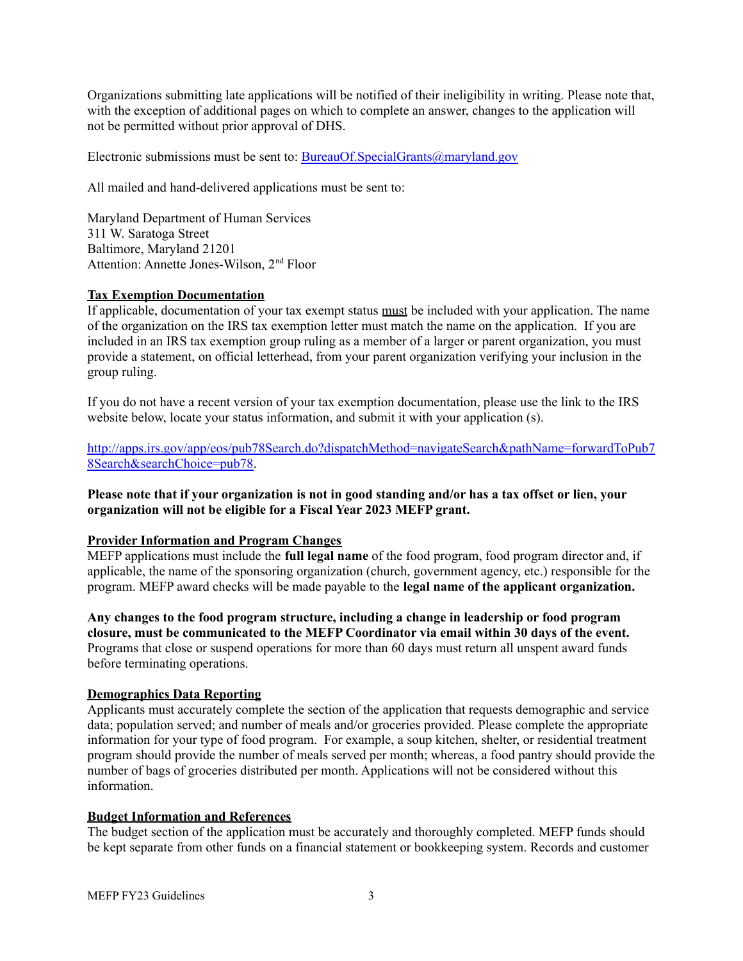Organizations submitting late applications will be notified of their ineligibility in writing. Please note that, with the exception of additional pages on which to complete an answer, changes to the application will not be permitted without prior approval of DHS.

Electronic submissions must be sent to: [BureauOf.SpecialGrants@maryland.gov](mailto:BureauOf.SpecialGrants@maryland.gov)

All mailed and hand-delivered applications must be sent to:

Maryland Department of Human Services 311 W. Saratoga Street Baltimore, Maryland 21201 Attention: Annette Jones-Wilson, 2<sup>nd</sup> Floor

# **Tax Exemption Documentation**

If applicable, documentation of your tax exempt status must be included with your application. The name of the organization on the IRS tax exemption letter must match the name on the application. If you are included in an IRS tax exemption group ruling as a member of a larger or parent organization, you must provide a statement, on official letterhead, from your parent organization verifying your inclusion in the group ruling.

If you do not have a recent version of your tax exemption documentation, please use the link to the IRS website below, locate your status information, and submit it with your application (s).

[http://apps.irs.gov/app/eos/pub78Search.do?dispatchMethod=navigateSearch&pathName=forwardToPub7](http://apps.irs.gov/app/eos/pub78Search.do?dispatchMethod=navigateSearch&pathName=forwardToPub78Search&searchChoice=pub78) [8Search&searchChoice=pub78.](http://apps.irs.gov/app/eos/pub78Search.do?dispatchMethod=navigateSearch&pathName=forwardToPub78Search&searchChoice=pub78)

Please note that if your organization is not in good standing and/or has a tax offset or lien, your **organization will not be eligible for a Fiscal Year 2023 MEFP grant.**

### **Provider Information and Program Changes**

MEFP applications must include the **full legal name** of the food program, food program director and, if applicable, the name of the sponsoring organization (church, government agency, etc.) responsible for the program. MEFP award checks will be made payable to the **legal name of the applicant organization.**

**Any changes to the food program structure, including a change in leadership or food program closure, must be communicated to the MEFP Coordinator via email within 30 days of the event.** Programs that close or suspend operations for more than 60 days must return all unspent award funds before terminating operations.

# **Demographics Data Reporting**

Applicants must accurately complete the section of the application that requests demographic and service data; population served; and number of meals and/or groceries provided. Please complete the appropriate information for your type of food program. For example, a soup kitchen, shelter, or residential treatment program should provide the number of meals served per month; whereas, a food pantry should provide the number of bags of groceries distributed per month. Applications will not be considered without this information.

### **Budget Information and References**

The budget section of the application must be accurately and thoroughly completed. MEFP funds should be kept separate from other funds on a financial statement or bookkeeping system. Records and customer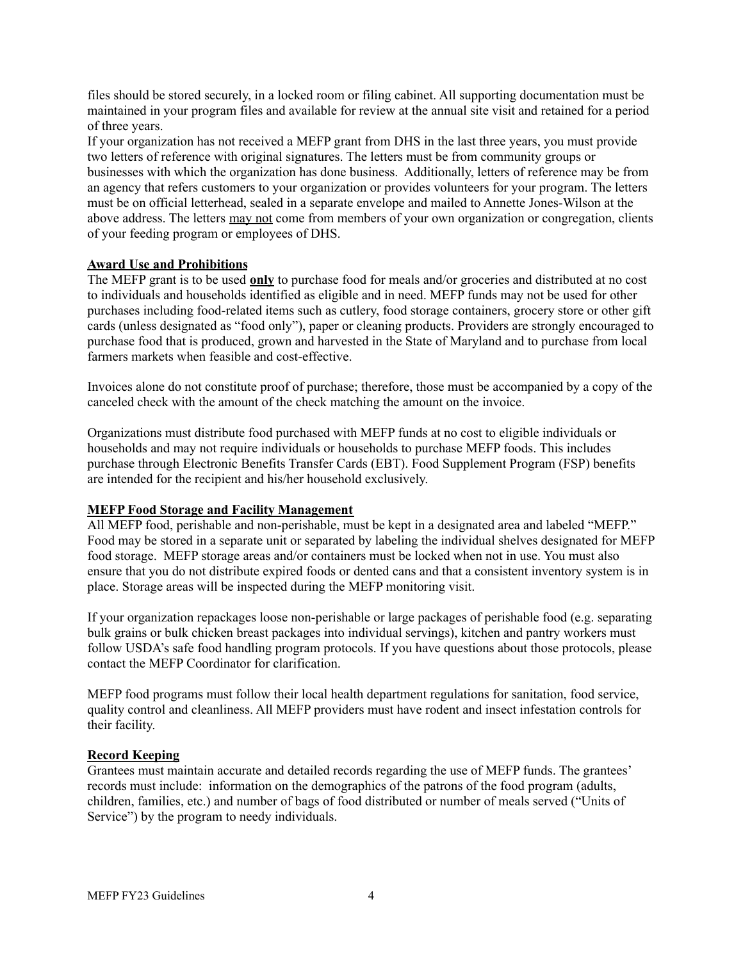files should be stored securely, in a locked room or filing cabinet. All supporting documentation must be maintained in your program files and available for review at the annual site visit and retained for a period of three years.

If your organization has not received a MEFP grant from DHS in the last three years, you must provide two letters of reference with original signatures. The letters must be from community groups or businesses with which the organization has done business. Additionally, letters of reference may be from an agency that refers customers to your organization or provides volunteers for your program. The letters must be on official letterhead, sealed in a separate envelope and mailed to Annette Jones-Wilson at the above address. The letters may not come from members of your own organization or congregation, clients of your feeding program or employees of DHS.

### **Award Use and Prohibitions**

The MEFP grant is to be used **only** to purchase food for meals and/or groceries and distributed at no cost to individuals and households identified as eligible and in need. MEFP funds may not be used for other purchases including food-related items such as cutlery, food storage containers, grocery store or other gift cards (unless designated as "food only"), paper or cleaning products. Providers are strongly encouraged to purchase food that is produced, grown and harvested in the State of Maryland and to purchase from local farmers markets when feasible and cost-effective.

Invoices alone do not constitute proof of purchase; therefore, those must be accompanied by a copy of the canceled check with the amount of the check matching the amount on the invoice.

Organizations must distribute food purchased with MEFP funds at no cost to eligible individuals or households and may not require individuals or households to purchase MEFP foods. This includes purchase through Electronic Benefits Transfer Cards (EBT). Food Supplement Program (FSP) benefits are intended for the recipient and his/her household exclusively.

#### **MEFP Food Storage and Facility Management**

All MEFP food, perishable and non-perishable, must be kept in a designated area and labeled "MEFP." Food may be stored in a separate unit or separated by labeling the individual shelves designated for MEFP food storage. MEFP storage areas and/or containers must be locked when not in use. You must also ensure that you do not distribute expired foods or dented cans and that a consistent inventory system is in place. Storage areas will be inspected during the MEFP monitoring visit.

If your organization repackages loose non-perishable or large packages of perishable food (e.g. separating bulk grains or bulk chicken breast packages into individual servings), kitchen and pantry workers must follow USDA's safe food handling program protocols. If you have questions about those protocols, please contact the MEFP Coordinator for clarification.

MEFP food programs must follow their local health department regulations for sanitation, food service, quality control and cleanliness. All MEFP providers must have rodent and insect infestation controls for their facility.

#### **Record Keeping**

Grantees must maintain accurate and detailed records regarding the use of MEFP funds. The grantees' records must include: information on the demographics of the patrons of the food program (adults, children, families, etc.) and number of bags of food distributed or number of meals served ("Units of Service") by the program to needy individuals.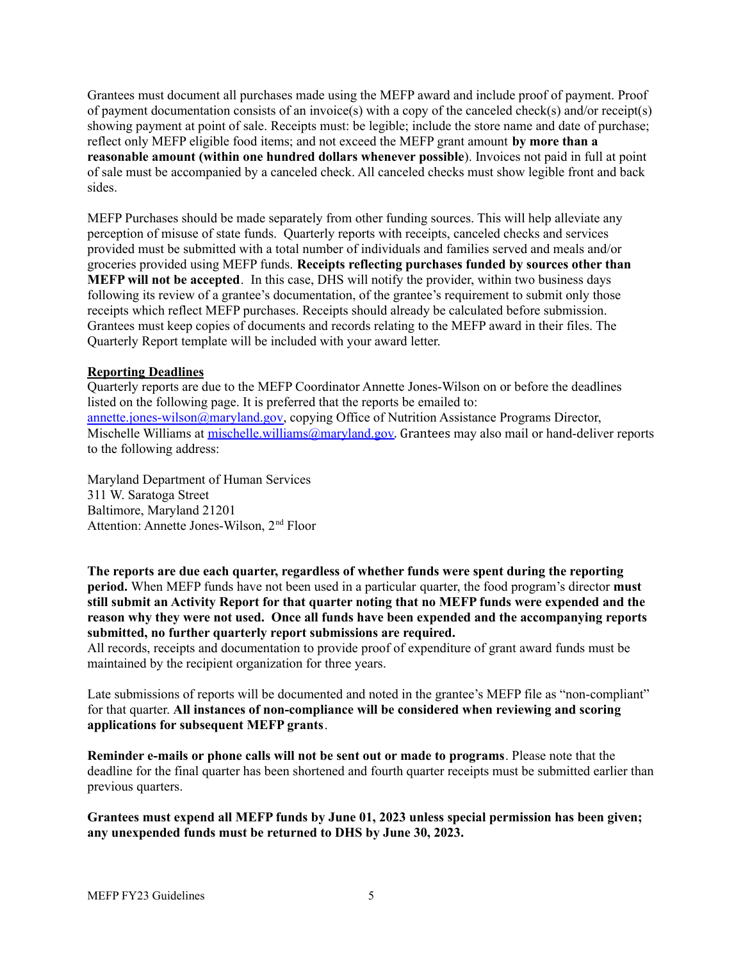Grantees must document all purchases made using the MEFP award and include proof of payment. Proof of payment documentation consists of an invoice(s) with a copy of the canceled check(s) and/or receipt(s) showing payment at point of sale. Receipts must: be legible; include the store name and date of purchase; reflect only MEFP eligible food items; and not exceed the MEFP grant amount **by more than a reasonable amount (within one hundred dollars whenever possible**). Invoices not paid in full at point of sale must be accompanied by a canceled check. All canceled checks must show legible front and back sides.

MEFP Purchases should be made separately from other funding sources. This will help alleviate any perception of misuse of state funds. Quarterly reports with receipts, canceled checks and services provided must be submitted with a total number of individuals and families served and meals and/or groceries provided using MEFP funds. **Receipts reflecting purchases funded by sources other than MEFP will not be accepted**. In this case, DHS will notify the provider, within two business days following its review of a grantee's documentation, of the grantee's requirement to submit only those receipts which reflect MEFP purchases. Receipts should already be calculated before submission. Grantees must keep copies of documents and records relating to the MEFP award in their files. The Quarterly Report template will be included with your award letter.

### **Reporting Deadlines**

Quarterly reports are due to the MEFP Coordinator Annette Jones-Wilson on or before the deadlines listed on the following page. It is preferred that the reports be emailed to: [annette.jones-wilson@maryland.gov,](mailto:annette.jones-wilson@maryland.gov) copying Office of Nutrition Assistance Programs Director, Mischelle Williams at mischelle.william[s@maryland.gov](mailto:bonnie.ariano@maryland.gov). Grantees may also mail or hand-deliver reports to the following address:

Maryland Department of Human Services 311 W. Saratoga Street Baltimore, Maryland 21201 Attention: Annette Jones-Wilson, 2<sup>nd</sup> Floor

**The reports are due each quarter, regardless of whether funds were spent during the reporting period.** When MEFP funds have not been used in a particular quarter, the food program's director **must still submit an Activity Report for that quarter noting that no MEFP funds were expended and the reason why they were not used. Once all funds have been expended and the accompanying reports submitted, no further quarterly report submissions are required.**

All records, receipts and documentation to provide proof of expenditure of grant award funds must be maintained by the recipient organization for three years.

Late submissions of reports will be documented and noted in the grantee's MEFP file as "non-compliant" for that quarter. **All instances of non-compliance will be considered when reviewing and scoring applications for subsequent MEFP grants**.

**Reminder e-mails or phone calls will not be sent out or made to programs**. Please note that the deadline for the final quarter has been shortened and fourth quarter receipts must be submitted earlier than previous quarters.

**Grantees must expend all MEFP funds by June 01, 2023 unless special permission has been given; any unexpended funds must be returned to DHS by June 30, 2023.**